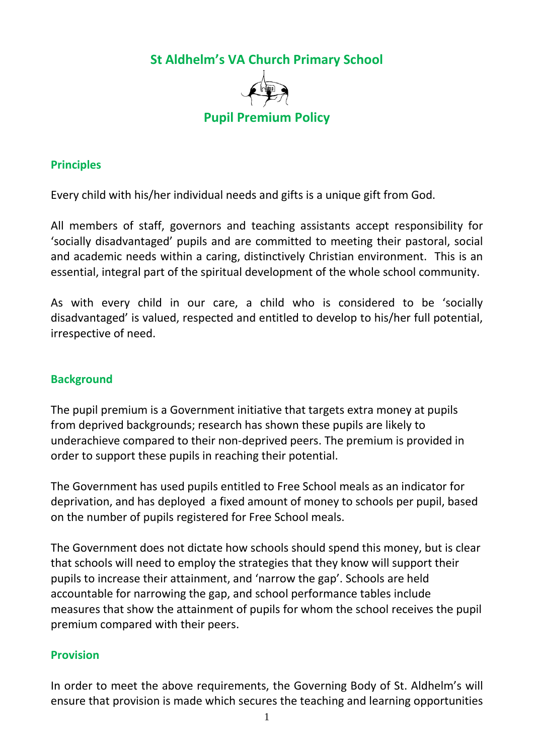**St Aldhelm's VA Church Primary School**



#### **Principles**

Every child with his/her individual needs and gifts is a unique gift from God.

All members of staff, governors and teaching assistants accept responsibility for 'socially disadvantaged' pupils and are committed to meeting their pastoral, social and academic needs within a caring, distinctively Christian environment. This is an essential, integral part of the spiritual development of the whole school community.

As with every child in our care, a child who is considered to be 'socially disadvantaged' is valued, respected and entitled to develop to his/her full potential, irrespective of need.

#### **Background**

The pupil premium is a Government initiative that targets extra money at pupils from deprived backgrounds; research has shown these pupils are likely to underachieve compared to their non-deprived peers. The premium is provided in order to support these pupils in reaching their potential.

The Government has used pupils entitled to Free School meals as an indicator for deprivation, and has deployed a fixed amount of money to schools per pupil, based on the number of pupils registered for Free School meals.

The Government does not dictate how schools should spend this money, but is clear that schools will need to employ the strategies that they know will support their pupils to increase their attainment, and 'narrow the gap'. Schools are held accountable for narrowing the gap, and school performance tables include measures that show the attainment of pupils for whom the school receives the pupil premium compared with their peers.

## **Provision**

In order to meet the above requirements, the Governing Body of St. Aldhelm's will ensure that provision is made which secures the teaching and learning opportunities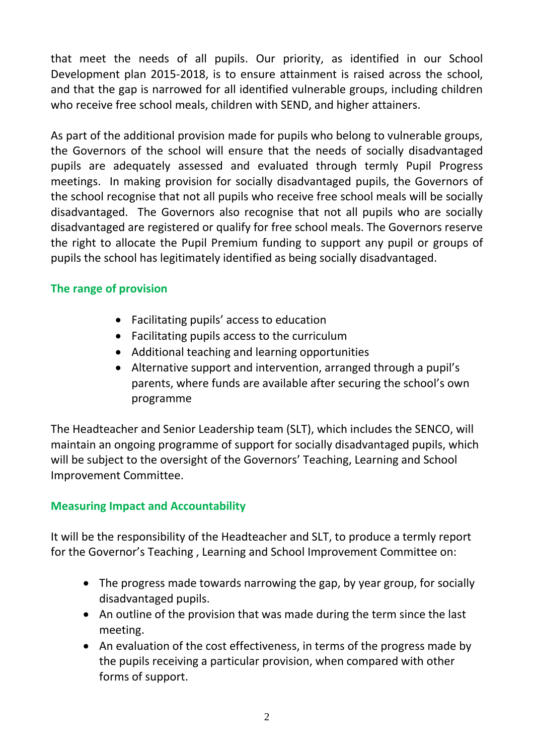that meet the needs of all pupils. Our priority, as identified in our School Development plan 2015-2018, is to ensure attainment is raised across the school, and that the gap is narrowed for all identified vulnerable groups, including children who receive free school meals, children with SEND, and higher attainers.

As part of the additional provision made for pupils who belong to vulnerable groups, the Governors of the school will ensure that the needs of socially disadvantaged pupils are adequately assessed and evaluated through termly Pupil Progress meetings. In making provision for socially disadvantaged pupils, the Governors of the school recognise that not all pupils who receive free school meals will be socially disadvantaged. The Governors also recognise that not all pupils who are socially disadvantaged are registered or qualify for free school meals. The Governors reserve the right to allocate the Pupil Premium funding to support any pupil or groups of pupils the school has legitimately identified as being socially disadvantaged.

## **The range of provision**

- Facilitating pupils' access to education
- Facilitating pupils access to the curriculum
- Additional teaching and learning opportunities
- Alternative support and intervention, arranged through a pupil's parents, where funds are available after securing the school's own programme

The Headteacher and Senior Leadership team (SLT), which includes the SENCO, will maintain an ongoing programme of support for socially disadvantaged pupils, which will be subject to the oversight of the Governors' Teaching, Learning and School Improvement Committee.

## **Measuring Impact and Accountability**

It will be the responsibility of the Headteacher and SLT, to produce a termly report for the Governor's Teaching , Learning and School Improvement Committee on:

- The progress made towards narrowing the gap, by year group, for socially disadvantaged pupils.
- An outline of the provision that was made during the term since the last meeting.
- An evaluation of the cost effectiveness, in terms of the progress made by the pupils receiving a particular provision, when compared with other forms of support.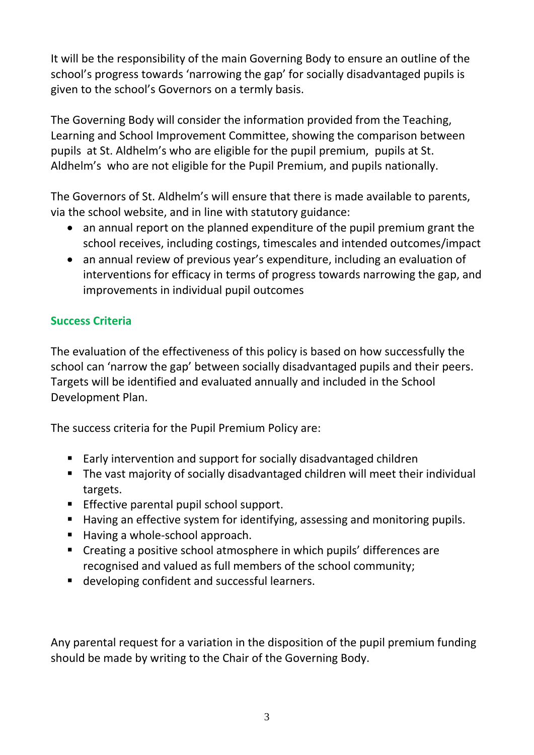It will be the responsibility of the main Governing Body to ensure an outline of the school's progress towards 'narrowing the gap' for socially disadvantaged pupils is given to the school's Governors on a termly basis.

The Governing Body will consider the information provided from the Teaching, Learning and School Improvement Committee, showing the comparison between pupils at St. Aldhelm's who are eligible for the pupil premium, pupils at St. Aldhelm's who are not eligible for the Pupil Premium, and pupils nationally.

The Governors of St. Aldhelm's will ensure that there is made available to parents, via the school website, and in line with statutory guidance:

- an annual report on the planned expenditure of the pupil premium grant the school receives, including costings, timescales and intended outcomes/impact
- an annual review of previous year's expenditure, including an evaluation of interventions for efficacy in terms of progress towards narrowing the gap, and improvements in individual pupil outcomes

# **Success Criteria**

The evaluation of the effectiveness of this policy is based on how successfully the school can 'narrow the gap' between socially disadvantaged pupils and their peers. Targets will be identified and evaluated annually and included in the School Development Plan.

The success criteria for the Pupil Premium Policy are:

- Early intervention and support for socially disadvantaged children
- The vast majority of socially disadvantaged children will meet their individual targets.
- **Effective parental pupil school support.**
- Having an effective system for identifying, assessing and monitoring pupils.
- Having a whole-school approach.
- Creating a positive school atmosphere in which pupils' differences are recognised and valued as full members of the school community;
- developing confident and successful learners.

Any parental request for a variation in the disposition of the pupil premium funding should be made by writing to the Chair of the Governing Body.